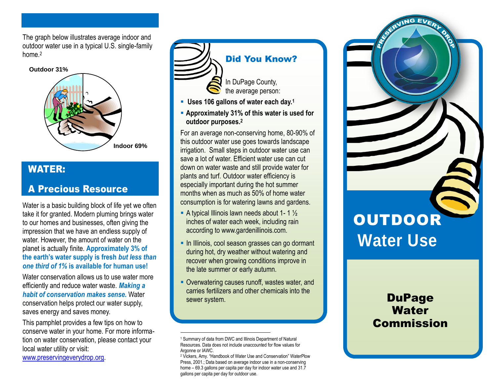The graph below illustrates average indoor and outdoor water use in a typical U.S. single-family home.<sup>2</sup>



### WATER:

## A Precious Resource

Water is a basic building block of life yet we often take it for granted. Modern pluming brings water to our homes and businesses, often giving the impression that we have an endless supply of water. However, the amount of water on the planet is actually finite. **Approximately 3% of the earth's water supply is fresh** *but less than one third of 1%* **is available for human use!**

Water conservation allows us to use water more efficiently and reduce water waste. *Making a habit of conservation makes sense.* Water conservation helps protect our water supply, saves energy and saves money.

This pamphlet provides a few tips on how to conserve water in your home. For more information on water conservation, please contact your local water utility or visit:

[www.preservingeverydrop.org.](http://www.preservingeverydrop.org/)



## Did You Know?

In DuPage County, the average person:

- **Uses 106 gallons of water each day.<sup>1</sup>**
- **Approximately 31% of this water is used for outdoor purposes. 2**

For an average non-conserving home, 80-90% of this outdoor water use goes towards landscape irrigation. Small steps in outdoor water use can save a lot of water. Efficient water use can cut down on water waste and still provide water for plants and turf. Outdoor water efficiency is especially important during the hot summer months when as much as 50% of home water consumption is for watering lawns and gardens.

- A typical Illinois lawn needs about 1- 1  $\frac{1}{2}$ inches of water each week, including rain according to www.gardenillinois.com.
- **In Illinois, cool season grasses can go dormant** during hot, dry weather without watering and recover when growing conditions improve in the late summer or early autumn.
- **-** Overwatering causes runoff, wastes water, and carries fertilizers and other chemicals into the sewer system.

 $\overline{a}$ 



## **DuPage Water** Commission

<sup>1</sup> Summary of data from DWC and Illinois Department of Natural Resources. Data does not include unaccounted for flow values for Argonne or IAWC.

<sup>2</sup> Vickers, Amy. "Handbook of Water Use and Conservation" WaterPlow Press, 2001.; Data based on average indoor use in a non-conserving home – 69.3 gallons per capita per day for indoor water use and 31.7 gallons per capita per day for outdoor use.